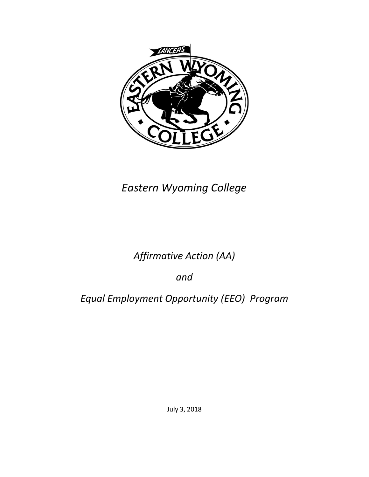

# *Eastern Wyoming College*

# *Affirmative Action (AA)*

*and*

# *Equal Employment Opportunity (EEO) Program*

July 3, 2018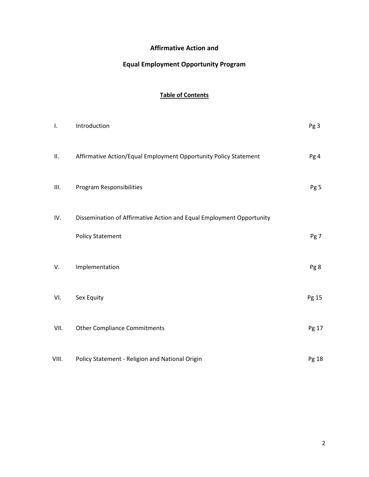### **Affirmative Action and**

## **Equal Employment Opportunity Program**

### **Table of Contents**

| Ι.    | Introduction                                                         | Pg <sub>3</sub> |
|-------|----------------------------------------------------------------------|-----------------|
| П.    | Affirmative Action/Equal Employment Opportunity Policy Statement     | Pg 4            |
| Ш.    | Program Responsibilities                                             | Pg 5            |
| IV.   | Dissemination of Affirmative Action and Equal Employment Opportunity |                 |
|       | <b>Policy Statement</b>                                              | Pg 7            |
| V.    | Implementation                                                       | Pg 8            |
| VI.   | Sex Equity                                                           | Pg 15           |
| VII.  | <b>Other Compliance Commitments</b>                                  | Pg 17           |
| VIII. | Policy Statement - Religion and National Origin                      | Pg 18           |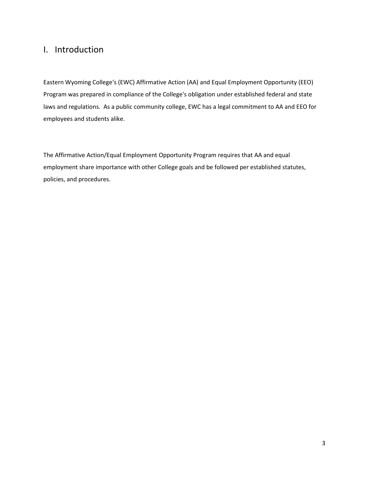## I. Introduction

Eastern Wyoming College's (EWC) Affirmative Action (AA) and Equal Employment Opportunity (EEO) Program was prepared in compliance of the College's obligation under established federal and state laws and regulations. As a public community college, EWC has a legal commitment to AA and EEO for employees and students alike.

The Affirmative Action/Equal Employment Opportunity Program requires that AA and equal employment share importance with other College goals and be followed per established statutes, policies, and procedures.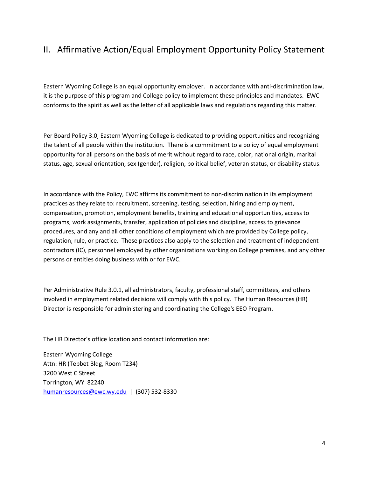# II. Affirmative Action/Equal Employment Opportunity Policy Statement

Eastern Wyoming College is an equal opportunity employer. In accordance with anti-discrimination law, it is the purpose of this program and College policy to implement these principles and mandates. EWC conforms to the spirit as well as the letter of all applicable laws and regulations regarding this matter.

Per Board Policy 3.0, Eastern Wyoming College is dedicated to providing opportunities and recognizing the talent of all people within the institution. There is a commitment to a policy of equal employment opportunity for all persons on the basis of merit without regard to race, color, national origin, marital status, age, sexual orientation, sex (gender), religion, political belief, veteran status, or disability status.

In accordance with the Policy, EWC affirms its commitment to non-discrimination in its employment practices as they relate to: recruitment, screening, testing, selection, hiring and employment, compensation, promotion, employment benefits, training and educational opportunities, access to programs, work assignments, transfer, application of policies and discipline, access to grievance procedures, and any and all other conditions of employment which are provided by College policy, regulation, rule, or practice. These practices also apply to the selection and treatment of independent contractors (IC), personnel employed by other organizations working on College premises, and any other persons or entities doing business with or for EWC.

Per Administrative Rule 3.0.1, all administrators, faculty, professional staff, committees, and others involved in employment related decisions will comply with this policy. The Human Resources (HR) Director is responsible for administering and coordinating the College's EEO Program.

The HR Director's office location and contact information are:

Eastern Wyoming College Attn: HR (Tebbet Bldg, Room T234) 3200 West C Street Torrington, WY 82240 [humanresources@ewc.wy.edu](mailto:humanresources@ewc.wy.edu) | (307) 532-8330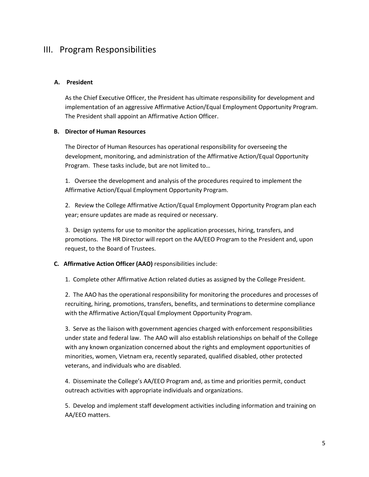### III. Program Responsibilities

#### **A. President**

As the Chief Executive Officer, the President has ultimate responsibility for development and implementation of an aggressive Affirmative Action/Equal Employment Opportunity Program. The President shall appoint an Affirmative Action Officer.

#### **B. Director of Human Resources**

The Director of Human Resources has operational responsibility for overseeing the development, monitoring, and administration of the Affirmative Action/Equal Opportunity Program. These tasks include, but are not limited to…

1. Oversee the development and analysis of the procedures required to implement the Affirmative Action/Equal Employment Opportunity Program.

2. Review the College Affirmative Action/Equal Employment Opportunity Program plan each year; ensure updates are made as required or necessary.

3. Design systems for use to monitor the application processes, hiring, transfers, and promotions. The HR Director will report on the AA/EEO Program to the President and, upon request, to the Board of Trustees.

#### **C. Affirmative Action Officer (AAO)** responsibilities include:

1. Complete other Affirmative Action related duties as assigned by the College President.

2. The AAO has the operational responsibility for monitoring the procedures and processes of recruiting, hiring, promotions, transfers, benefits, and terminations to determine compliance with the Affirmative Action/Equal Employment Opportunity Program.

3. Serve as the liaison with government agencies charged with enforcement responsibilities under state and federal law. The AAO will also establish relationships on behalf of the College with any known organization concerned about the rights and employment opportunities of minorities, women, Vietnam era, recently separated, qualified disabled, other protected veterans, and individuals who are disabled.

4. Disseminate the College's AA/EEO Program and, as time and priorities permit, conduct outreach activities with appropriate individuals and organizations.

5. Develop and implement staff development activities including information and training on AA/EEO matters.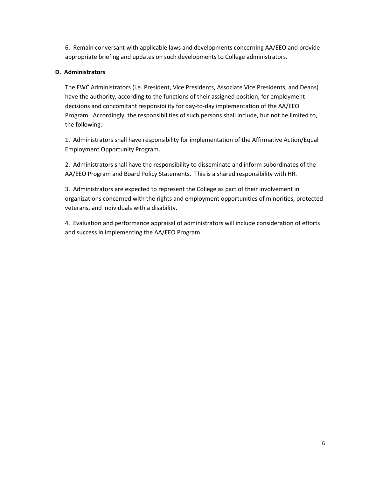6. Remain conversant with applicable laws and developments concerning AA/EEO and provide appropriate briefing and updates on such developments to College administrators.

#### **D. Administrators**

The EWC Administrators (i.e. President, Vice Presidents, Associate Vice Presidents, and Deans) have the authority, according to the functions of their assigned position, for employment decisions and concomitant responsibility for day-to-day implementation of the AA/EEO Program. Accordingly, the responsibilities of such persons shall include, but not be limited to, the following:

1. Administrators shall have responsibility for implementation of the Affirmative Action/Equal Employment Opportunity Program.

2. Administrators shall have the responsibility to disseminate and inform subordinates of the AA/EEO Program and Board Policy Statements. This is a shared responsibility with HR.

3. Administrators are expected to represent the College as part of their involvement in organizations concerned with the rights and employment opportunities of minorities, protected veterans, and individuals with a disability.

4. Evaluation and performance appraisal of administrators will include consideration of efforts and success in implementing the AA/EEO Program.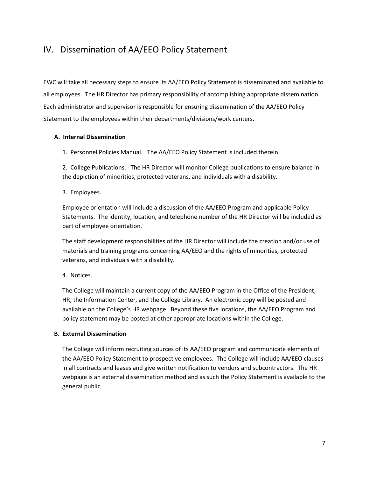# IV. Dissemination of AA/EEO Policy Statement

EWC will take all necessary steps to ensure its AA/EEO Policy Statement is disseminated and available to all employees. The HR Director has primary responsibility of accomplishing appropriate dissemination. Each administrator and supervisor is responsible for ensuring dissemination of the AA/EEO Policy Statement to the employees within their departments/divisions/work centers.

#### **A. Internal Dissemination**

1. Personnel Policies Manual. The AA/EEO Policy Statement is included therein.

2. College Publications. The HR Director will monitor College publications to ensure balance in the depiction of minorities, protected veterans, and individuals with a disability.

3. Employees.

Employee orientation will include a discussion of the AA/EEO Program and applicable Policy Statements. The identity, location, and telephone number of the HR Director will be included as part of employee orientation.

The staff development responsibilities of the HR Director will include the creation and/or use of materials and training programs concerning AA/EEO and the rights of minorities, protected veterans, and individuals with a disability.

4. Notices.

The College will maintain a current copy of the AA/EEO Program in the Office of the President, HR, the Information Center, and the College Library. An electronic copy will be posted and available on the College's HR webpage. Beyond these five locations, the AA/EEO Program and policy statement may be posted at other appropriate locations within the College.

#### **B. External Dissemination**

The College will inform recruiting sources of its AA/EEO program and communicate elements of the AA/EEO Policy Statement to prospective employees. The College will include AA/EEO clauses in all contracts and leases and give written notification to vendors and subcontractors. The HR webpage is an external dissemination method and as such the Policy Statement is available to the general public.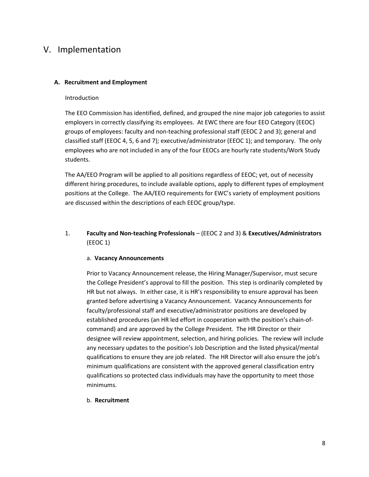## V. Implementation

#### **A. Recruitment and Employment**

#### Introduction

The EEO Commission has identified, defined, and grouped the nine major job categories to assist employers in correctly classifying its employees. At EWC there are four EEO Category (EEOC) groups of employees: faculty and non-teaching professional staff (EEOC 2 and 3); general and classified staff (EEOC 4, 5, 6 and 7); executive/administrator (EEOC 1); and temporary. The only employees who are not included in any of the four EEOCs are hourly rate students/Work Study students.

The AA/EEO Program will be applied to all positions regardless of EEOC; yet, out of necessity different hiring procedures, to include available options, apply to different types of employment positions at the College. The AA/EEO requirements for EWC's variety of employment positions are discussed within the descriptions of each EEOC group/type.

#### 1. **Faculty and Non-teaching Professionals** – (EEOC 2 and 3) & **Executives/Administrators** (EEOC 1)

#### a. **Vacancy Announcements**

Prior to Vacancy Announcement release, the Hiring Manager/Supervisor, must secure the College President's approval to fill the position. This step is ordinarily completed by HR but not always. In either case, it is HR's responsibility to ensure approval has been granted before advertising a Vacancy Announcement. Vacancy Announcements for faculty/professional staff and executive/administrator positions are developed by established procedures (an HR led effort in cooperation with the position's chain-ofcommand) and are approved by the College President. The HR Director or their designee will review appointment, selection, and hiring policies. The review will include any necessary updates to the position's Job Description and the listed physical/mental qualifications to ensure they are job related. The HR Director will also ensure the job's minimum qualifications are consistent with the approved general classification entry qualifications so protected class individuals may have the opportunity to meet those minimums.

#### b. **Recruitment**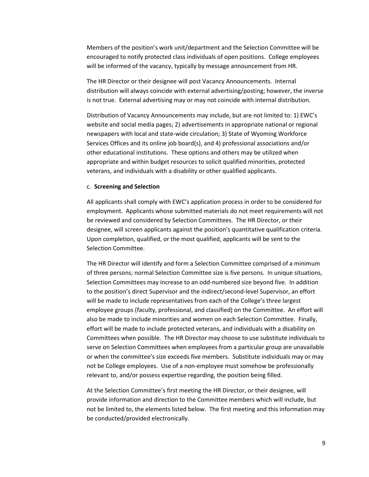Members of the position's work unit/department and the Selection Committee will be encouraged to notify protected class individuals of open positions. College employees will be informed of the vacancy, typically by message announcement from HR.

The HR Director or their designee will post Vacancy Announcements. Internal distribution will always coincide with external advertising/posting; however, the inverse is not true. External advertising may or may not coincide with internal distribution.

Distribution of Vacancy Announcements may include, but are not limited to: 1) EWC's website and social media pages; 2) advertisements in appropriate national or regional newspapers with local and state-wide circulation; 3) State of Wyoming Workforce Services Offices and its online job board(s), and 4) professional associations and/or other educational institutions. These options and others may be utilized when appropriate and within budget resources to solicit qualified minorities, protected veterans, and individuals with a disability or other qualified applicants.

#### c. **Screening and Selection**

All applicants shall comply with EWC's application process in order to be considered for employment. Applicants whose submitted materials do not meet requirements will not be reviewed and considered by Selection Committees. The HR Director, or their designee, will screen applicants against the position's quantitative qualification criteria. Upon completion, qualified, or the most qualified, applicants will be sent to the Selection Committee.

The HR Director will identify and form a Selection Committee comprised of a minimum of three persons; normal Selection Committee size is five persons. In unique situations, Selection Committees may increase to an odd-numbered size beyond five. In addition to the position's direct Supervisor and the indirect/second-level Supervisor, an effort will be made to include representatives from each of the College's three largest employee groups (faculty, professional, and classified) on the Committee. An effort will also be made to include minorities and women on each Selection Committee. Finally, effort will be made to include protected veterans, and individuals with a disability on Committees when possible. The HR Director may choose to use substitute individuals to serve on Selection Committees when employees from a particular group are unavailable or when the committee's size exceeds five members. Substitute individuals may or may not be College employees. Use of a non-employee must somehow be professionally relevant to, and/or possess expertise regarding, the position being filled.

At the Selection Committee's first meeting the HR Director, or their designee, will provide information and direction to the Committee members which will include, but not be limited to, the elements listed below. The first meeting and this information may be conducted/provided electronically.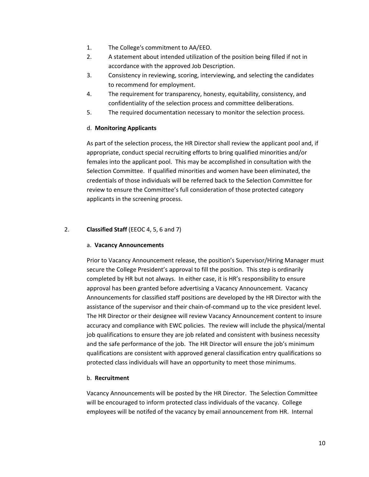- 1. The College's commitment to AA/EEO.
- 2. A statement about intended utilization of the position being filled if not in accordance with the approved Job Description.
- 3. Consistency in reviewing, scoring, interviewing, and selecting the candidates to recommend for employment.
- 4. The requirement for transparency, honesty, equitability, consistency, and confidentiality of the selection process and committee deliberations.
- 5. The required documentation necessary to monitor the selection process.

#### d. **Monitoring Applicants**

As part of the selection process, the HR Director shall review the applicant pool and, if appropriate, conduct special recruiting efforts to bring qualified minorities and/or females into the applicant pool. This may be accomplished in consultation with the Selection Committee. If qualified minorities and women have been eliminated, the credentials of those individuals will be referred back to the Selection Committee for review to ensure the Committee's full consideration of those protected category applicants in the screening process.

#### 2. **Classified Staff** (EEOC 4, 5, 6 and 7)

#### a. **Vacancy Announcements**

Prior to Vacancy Announcement release, the position's Supervisor/Hiring Manager must secure the College President's approval to fill the position. This step is ordinarily completed by HR but not always. In either case, it is HR's responsibility to ensure approval has been granted before advertising a Vacancy Announcement. Vacancy Announcements for classified staff positions are developed by the HR Director with the assistance of the supervisor and their chain-of-command up to the vice president level. The HR Director or their designee will review Vacancy Announcement content to insure accuracy and compliance with EWC policies. The review will include the physical/mental job qualifications to ensure they are job related and consistent with business necessity and the safe performance of the job. The HR Director will ensure the job's minimum qualifications are consistent with approved general classification entry qualifications so protected class individuals will have an opportunity to meet those minimums.

#### b. **Recruitment**

Vacancy Announcements will be posted by the HR Director. The Selection Committee will be encouraged to inform protected class individuals of the vacancy. College employees will be notifed of the vacancy by email announcement from HR. Internal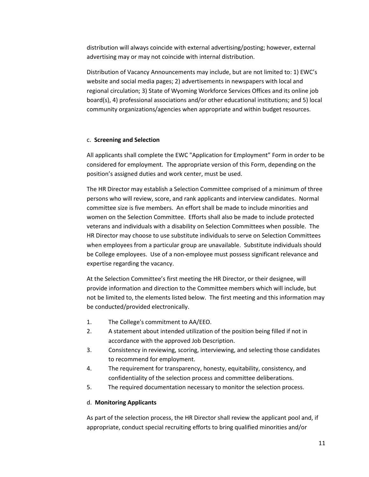distribution will always coincide with external advertising/posting; however, external advertising may or may not coincide with internal distribution.

Distribution of Vacancy Announcements may include, but are not limited to: 1) EWC's website and social media pages; 2) advertisements in newspapers with local and regional circulation; 3) State of Wyoming Workforce Services Offices and its online job board(s), 4) professional associations and/or other educational institutions; and 5) local community organizations/agencies when appropriate and within budget resources.

#### c. **Screening and Selection**

All applicants shall complete the EWC "Application for Employment" Form in order to be considered for employment. The appropriate version of this Form, depending on the position's assigned duties and work center, must be used.

The HR Director may establish a Selection Committee comprised of a minimum of three persons who will review, score, and rank applicants and interview candidates. Normal committee size is five members. An effort shall be made to include minorities and women on the Selection Committee. Efforts shall also be made to include protected veterans and individuals with a disability on Selection Committees when possible. The HR Director may choose to use substitute individuals to serve on Selection Committees when employees from a particular group are unavailable. Substitute individuals should be College employees. Use of a non-employee must possess significant relevance and expertise regarding the vacancy.

At the Selection Committee's first meeting the HR Director, or their designee, will provide information and direction to the Committee members which will include, but not be limited to, the elements listed below. The first meeting and this information may be conducted/provided electronically.

- 1. The College's commitment to AA/EEO.
- 2. A statement about intended utilization of the position being filled if not in accordance with the approved Job Description.
- 3. Consistency in reviewing, scoring, interviewing, and selecting those candidates to recommend for employment.
- 4. The requirement for transparency, honesty, equitability, consistency, and confidentiality of the selection process and committee deliberations.
- 5. The required documentation necessary to monitor the selection process.

#### d. **Monitoring Applicants**

As part of the selection process, the HR Director shall review the applicant pool and, if appropriate, conduct special recruiting efforts to bring qualified minorities and/or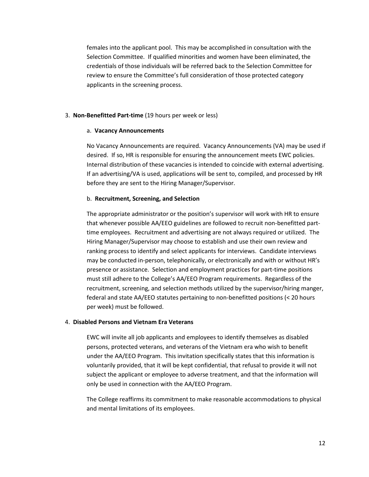females into the applicant pool. This may be accomplished in consultation with the Selection Committee. If qualified minorities and women have been eliminated, the credentials of those individuals will be referred back to the Selection Committee for review to ensure the Committee's full consideration of those protected category applicants in the screening process.

#### 3. **Non-Benefitted Part-time** (19 hours per week or less)

#### a. **Vacancy Announcements**

No Vacancy Announcements are required. Vacancy Announcements (VA) may be used if desired. If so, HR is responsible for ensuring the announcement meets EWC policies. Internal distribution of these vacancies is intended to coincide with external advertising. If an advertising/VA is used, applications will be sent to, compiled, and processed by HR before they are sent to the Hiring Manager/Supervisor.

#### b. **Recruitment, Screening, and Selection**

The appropriate administrator or the position's supervisor will work with HR to ensure that whenever possible AA/EEO guidelines are followed to recruit non-benefitted parttime employees. Recruitment and advertising are not always required or utilized. The Hiring Manager/Supervisor may choose to establish and use their own review and ranking process to identify and select applicants for interviews. Candidate interviews may be conducted in-person, telephonically, or electronically and with or without HR's presence or assistance. Selection and employment practices for part-time positions must still adhere to the College's AA/EEO Program requirements. Regardless of the recruitment, screening, and selection methods utilized by the supervisor/hiring manger, federal and state AA/EEO statutes pertaining to non-benefitted positions (< 20 hours per week) must be followed.

#### 4. **Disabled Persons and Vietnam Era Veterans**

EWC will invite all job applicants and employees to identify themselves as disabled persons, protected veterans, and veterans of the Vietnam era who wish to benefit under the AA/EEO Program. This invitation specifically states that this information is voluntarily provided, that it will be kept confidential, that refusal to provide it will not subject the applicant or employee to adverse treatment, and that the information will only be used in connection with the AA/EEO Program.

The College reaffirms its commitment to make reasonable accommodations to physical and mental limitations of its employees.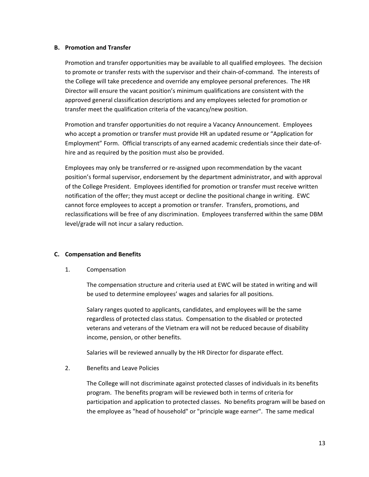#### **B. Promotion and Transfer**

Promotion and transfer opportunities may be available to all qualified employees. The decision to promote or transfer rests with the supervisor and their chain-of-command. The interests of the College will take precedence and override any employee personal preferences. The HR Director will ensure the vacant position's minimum qualifications are consistent with the approved general classification descriptions and any employees selected for promotion or transfer meet the qualification criteria of the vacancy/new position.

Promotion and transfer opportunities do not require a Vacancy Announcement. Employees who accept a promotion or transfer must provide HR an updated resume or "Application for Employment" Form. Official transcripts of any earned academic credentials since their date-ofhire and as required by the position must also be provided.

Employees may only be transferred or re-assigned upon recommendation by the vacant position's formal supervisor, endorsement by the department administrator, and with approval of the College President. Employees identified for promotion or transfer must receive written notification of the offer; they must accept or decline the positional change in writing. EWC cannot force employees to accept a promotion or transfer. Transfers, promotions, and reclassifications will be free of any discrimination. Employees transferred within the same DBM level/grade will not incur a salary reduction.

#### **C. Compensation and Benefits**

1. Compensation

The compensation structure and criteria used at EWC will be stated in writing and will be used to determine employees' wages and salaries for all positions.

Salary ranges quoted to applicants, candidates, and employees will be the same regardless of protected class status. Compensation to the disabled or protected veterans and veterans of the Vietnam era will not be reduced because of disability income, pension, or other benefits.

Salaries will be reviewed annually by the HR Director for disparate effect.

2. Benefits and Leave Policies

The College will not discriminate against protected classes of individuals in its benefits program. The benefits program will be reviewed both in terms of criteria for participation and application to protected classes. No benefits program will be based on the employee as "head of household" or "principle wage earner". The same medical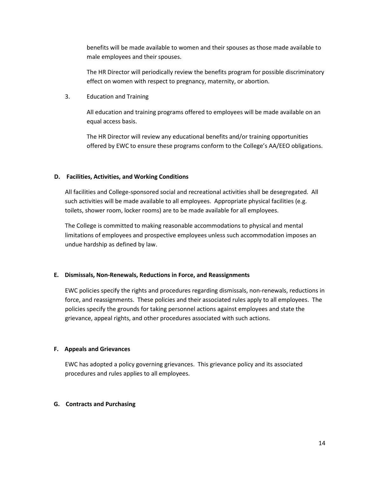benefits will be made available to women and their spouses as those made available to male employees and their spouses.

The HR Director will periodically review the benefits program for possible discriminatory effect on women with respect to pregnancy, maternity, or abortion.

3. Education and Training

All education and training programs offered to employees will be made available on an equal access basis.

The HR Director will review any educational benefits and/or training opportunities offered by EWC to ensure these programs conform to the College's AA/EEO obligations.

#### **D. Facilities, Activities, and Working Conditions**

All facilities and College-sponsored social and recreational activities shall be desegregated. All such activities will be made available to all employees. Appropriate physical facilities (e.g. toilets, shower room, locker rooms) are to be made available for all employees.

The College is committed to making reasonable accommodations to physical and mental limitations of employees and prospective employees unless such accommodation imposes an undue hardship as defined by law.

#### **E. Dismissals, Non-Renewals, Reductions in Force, and Reassignments**

EWC policies specify the rights and procedures regarding dismissals, non-renewals, reductions in force, and reassignments. These policies and their associated rules apply to all employees. The policies specify the grounds for taking personnel actions against employees and state the grievance, appeal rights, and other procedures associated with such actions.

#### **F. Appeals and Grievances**

EWC has adopted a policy governing grievances. This grievance policy and its associated procedures and rules applies to all employees.

#### **G. Contracts and Purchasing**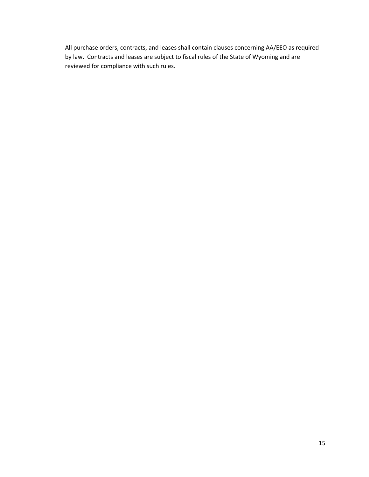All purchase orders, contracts, and leases shall contain clauses concerning AA/EEO as required by law. Contracts and leases are subject to fiscal rules of the State of Wyoming and are reviewed for compliance with such rules.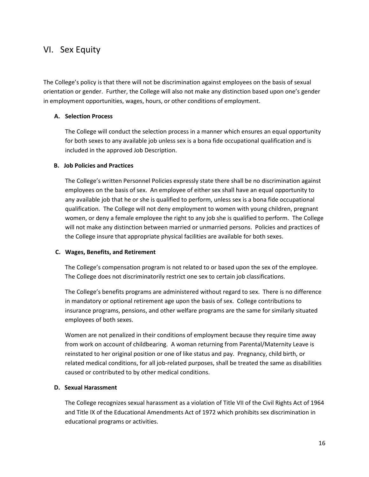## VI. Sex Equity

The College's policy is that there will not be discrimination against employees on the basis of sexual orientation or gender. Further, the College will also not make any distinction based upon one's gender in employment opportunities, wages, hours, or other conditions of employment.

#### **A. Selection Process**

The College will conduct the selection process in a manner which ensures an equal opportunity for both sexes to any available job unless sex is a bona fide occupational qualification and is included in the approved Job Description.

#### **B. Job Policies and Practices**

The College's written Personnel Policies expressly state there shall be no discrimination against employees on the basis of sex. An employee of either sex shall have an equal opportunity to any available job that he or she is qualified to perform, unless sex is a bona fide occupational qualification. The College will not deny employment to women with young children, pregnant women, or deny a female employee the right to any job she is qualified to perform. The College will not make any distinction between married or unmarried persons. Policies and practices of the College insure that appropriate physical facilities are available for both sexes.

#### **C. Wages, Benefits, and Retirement**

The College's compensation program is not related to or based upon the sex of the employee. The College does not discriminatorily restrict one sex to certain job classifications.

The College's benefits programs are administered without regard to sex. There is no difference in mandatory or optional retirement age upon the basis of sex. College contributions to insurance programs, pensions, and other welfare programs are the same for similarly situated employees of both sexes.

Women are not penalized in their conditions of employment because they require time away from work on account of childbearing. A woman returning from Parental/Maternity Leave is reinstated to her original position or one of like status and pay. Pregnancy, child birth, or related medical conditions, for all job-related purposes, shall be treated the same as disabilities caused or contributed to by other medical conditions.

#### **D. Sexual Harassment**

The College recognizes sexual harassment as a violation of Title VII of the Civil Rights Act of 1964 and Title IX of the Educational Amendments Act of 1972 which prohibits sex discrimination in educational programs or activities.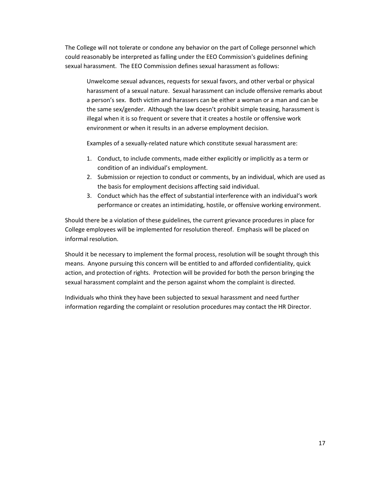The College will not tolerate or condone any behavior on the part of College personnel which could reasonably be interpreted as falling under the EEO Commission's guidelines defining sexual harassment. The EEO Commission defines sexual harassment as follows:

Unwelcome sexual advances, requests for sexual favors, and other verbal or physical harassment of a sexual nature. Sexual harassment can include offensive remarks about a person's sex. Both victim and harassers can be either a woman or a man and can be the same sex/gender. Although the law doesn't prohibit simple teasing, harassment is illegal when it is so frequent or severe that it creates a hostile or offensive work environment or when it results in an adverse employment decision.

Examples of a sexually-related nature which constitute sexual harassment are:

- 1. Conduct, to include comments, made either explicitly or implicitly as a term or condition of an individual's employment.
- 2. Submission or rejection to conduct or comments, by an individual, which are used as the basis for employment decisions affecting said individual.
- 3. Conduct which has the effect of substantial interference with an individual's work performance or creates an intimidating, hostile, or offensive working environment.

Should there be a violation of these guidelines, the current grievance procedures in place for College employees will be implemented for resolution thereof. Emphasis will be placed on informal resolution.

Should it be necessary to implement the formal process, resolution will be sought through this means. Anyone pursuing this concern will be entitled to and afforded confidentiality, quick action, and protection of rights. Protection will be provided for both the person bringing the sexual harassment complaint and the person against whom the complaint is directed.

Individuals who think they have been subjected to sexual harassment and need further information regarding the complaint or resolution procedures may contact the HR Director.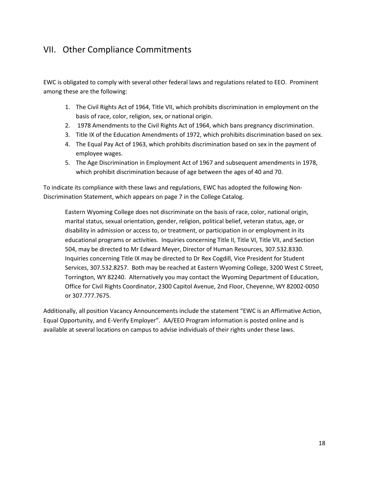# VII. Other Compliance Commitments

EWC is obligated to comply with several other federal laws and regulations related to EEO. Prominent among these are the following:

- 1. The Civil Rights Act of 1964, Title VII, which prohibits discrimination in employment on the basis of race, color, religion, sex, or national origin.
- 2. 1978 Amendments to the Civil Rights Act of 1964, which bans pregnancy discrimination.
- 3. Title IX of the Education Amendments of 1972, which prohibits discrimination based on sex.
- 4. The Equal Pay Act of 1963, which prohibits discrimination based on sex in the payment of employee wages.
- 5. The Age Discrimination in Employment Act of 1967 and subsequent amendments in 1978, which prohibit discrimination because of age between the ages of 40 and 70.

To indicate its compliance with these laws and regulations, EWC has adopted the following Non-Discrimination Statement, which appears on page 7 in the College Catalog.

Eastern Wyoming College does not discriminate on the basis of race, color, national origin, marital status, sexual orientation, gender, religion, political belief, veteran status, age, or disability in admission or access to, or treatment, or participation in or employment in its educational programs or activities. Inquiries concerning Title II, Title VI, Title VII, and Section 504, may be directed to Mr Edward Meyer, Director of Human Resources, 307.532.8330. Inquiries concerning Title IX may be directed to Dr Rex Cogdill, Vice President for Student Services, 307.532.8257. Both may be reached at Eastern Wyoming College, 3200 West C Street, Torrington, WY 82240. Alternatively you may contact the Wyoming Department of Education, Office for Civil Rights Coordinator, 2300 Capitol Avenue, 2nd Floor, Cheyenne, WY 82002-0050 or 307.777.7675.

Additionally, all position Vacancy Announcements include the statement "EWC is an Affirmative Action, Equal Opportunity, and E-Verify Employer". AA/EEO Program information is posted online and is available at several locations on campus to advise individuals of their rights under these laws.